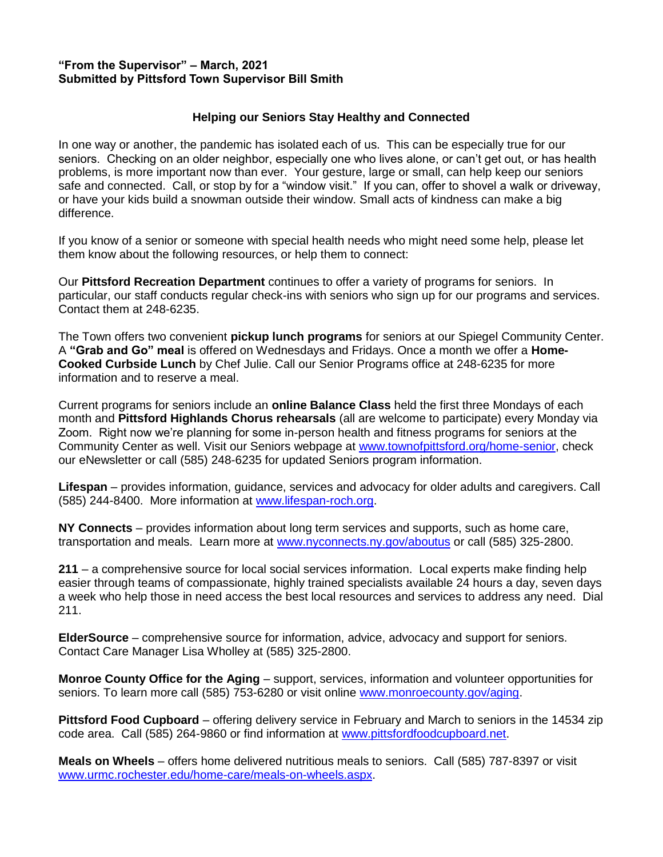## **"From the Supervisor" – March, 2021 Submitted by Pittsford Town Supervisor Bill Smith**

## **Helping our Seniors Stay Healthy and Connected**

In one way or another, the pandemic has isolated each of us. This can be especially true for our seniors. Checking on an older neighbor, especially one who lives alone, or can't get out, or has health problems, is more important now than ever. Your gesture, large or small, can help keep our seniors safe and connected. Call, or stop by for a "window visit." If you can, offer to shovel a walk or driveway, or have your kids build a snowman outside their window. Small acts of kindness can make a big difference.

If you know of a senior or someone with special health needs who might need some help, please let them know about the following resources, or help them to connect:

Our **Pittsford Recreation Department** continues to offer a variety of programs for seniors. In particular, our staff conducts regular check-ins with seniors who sign up for our programs and services. Contact them at 248-6235.

The Town offers two convenient **pickup lunch programs** for seniors at our Spiegel Community Center. A **"Grab and Go" meal** is offered on Wednesdays and Fridays. Once a month we offer a **Home-Cooked Curbside Lunch** by Chef Julie. Call our Senior Programs office at 248-6235 for more information and to reserve a meal.

Current programs for seniors include an **online Balance Class** held the first three Mondays of each month and **Pittsford Highlands Chorus rehearsals** (all are welcome to participate) every Monday via Zoom. Right now we're planning for some in-person health and fitness programs for seniors at the Community Center as well. Visit our Seniors webpage at **www.townofpittsford.org/home-senior**, check our eNewsletter or call (585) 248-6235 for updated Seniors program information.

**Lifespan** – provides information, guidance, services and advocacy for older adults and caregivers. Call (585) 244-8400. More information at [www.lifespan-roch.org.](http://www.lifespan-roch.org/)

**NY Connects** – provides information about long term services and supports, such as home care, transportation and meals. Learn more at [www.nyconnects.ny.gov/aboutus](http://www.nyconnects.ny.gov/aboutus) or call (585) 325-2800.

**211** – a comprehensive source for local social services information. Local experts make finding help easier through teams of compassionate, highly trained specialists available 24 hours a day, seven days a week who help those in need access the best local resources and services to address any need. Dial 211.

**ElderSource** – comprehensive source for information, advice, advocacy and support for seniors. Contact Care Manager Lisa Wholley at (585) 325-2800.

**Monroe County Office for the Aging** – support, services, information and volunteer opportunities for seniors. To learn more call (585) 753-6280 or visit online [www.monroecounty.gov/aging.](http://www.monroecounty.gov/aging)

**Pittsford Food Cupboard** – offering delivery service in February and March to seniors in the 14534 zip code area. Call (585) 264-9860 or find information at [www.pittsfordfoodcupboard.net.](http://www.pittsfordfoodcupboard.net/)

**Meals on Wheels** – offers home delivered nutritious meals to seniors. Call (585) 787-8397 or visit [www.urmc.rochester.edu/home-care/meals-on-wheels.aspx.](http://www.urmc.rochester.edu/home-care/meals-on-wheels.aspx)